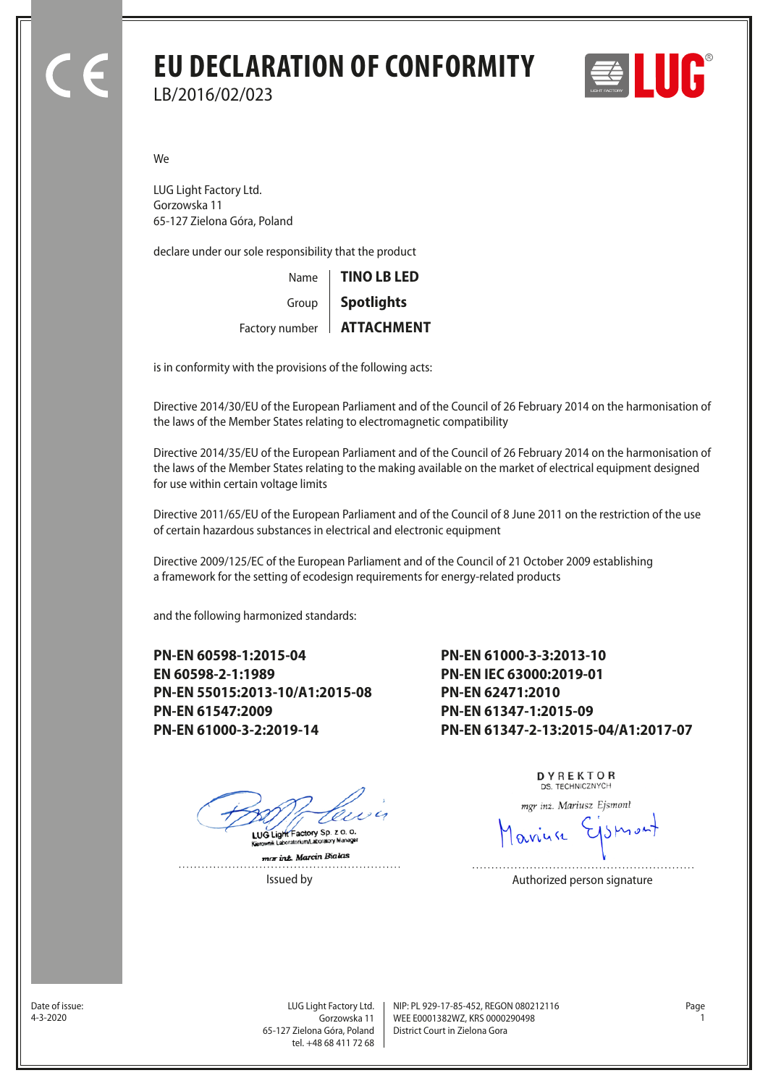## **EU DECLARATION OF CONFORMITY** LB/2016/02/023



We

LUG Light Factory Ltd. Gorzowska 11 65-127 Zielona Góra, Poland

declare under our sole responsibility that the product

| Name   TINO LB LED                 |  |
|------------------------------------|--|
| Group   Spotlights                 |  |
| Factory number   <b>ATTACHMENT</b> |  |

is in conformity with the provisions of the following acts:

Directive 2014/30/EU of the European Parliament and of the Council of 26 February 2014 on the harmonisation of the laws of the Member States relating to electromagnetic compatibility

Directive 2014/35/EU of the European Parliament and of the Council of 26 February 2014 on the harmonisation of the laws of the Member States relating to the making available on the market of electrical equipment designed for use within certain voltage limits

Directive 2011/65/EU of the European Parliament and of the Council of 8 June 2011 on the restriction of the use of certain hazardous substances in electrical and electronic equipment

Directive 2009/125/EC of the European Parliament and of the Council of 21 October 2009 establishing a framework for the setting of ecodesign requirements for energy-related products

and the following harmonized standards:

**PN-EN 60598-1:2015-04 EN 60598-2-1:1989 PN-EN 55015:2013-10/A1:2015-08 PN-EN 61547:2009 PN-EN 61000-3-2:2019-14**

**PN-EN 61000-3-3:2013-10 PN-EN IEC 63000:2019-01 PN-EN 62471:2010 PN-EN 61347-1:2015-09 PN-EN 61347-2-13:2015-04/A1:2017-07**

LUG Light Factory Sp. z o. o.

mar int. Marcin Bialas  DYREKTOR DS. TECHNICZNYCH

mgr inż. Mariusz Ejsmont

Issued by **Authorized person signature** 

Date of issue:<br>4-3-2020

Gorzowska 11 65-127 Zielona Góra, Poland tel. +48 68 411 72 68

LUG Light Factory Ltd. Page NIP: PL 929-17-85-452, REGON 080212116 WEE E0001382WZ, KRS 0000290498 4-3-2020 1 District Court in Zielona Gora